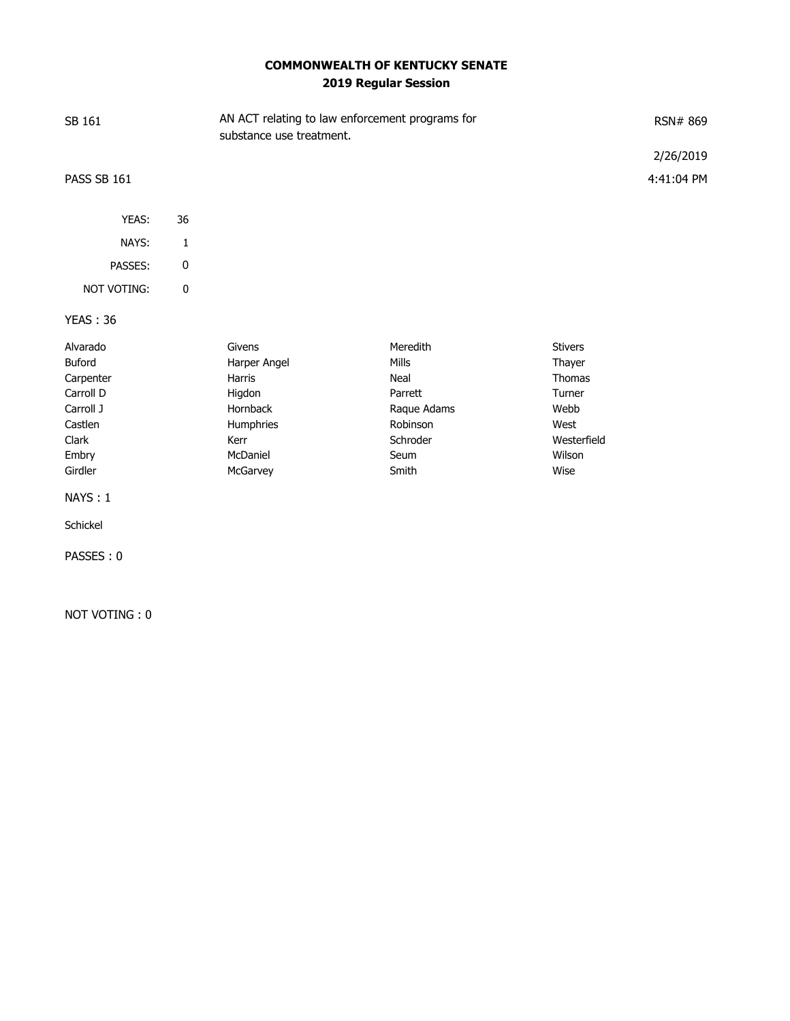## **COMMONWEALTH OF KENTUCKY SENATE 2019 Regular Session**

| SB 161          |    | AN ACT relating to law enforcement programs for<br>substance use treatment. |             |                | RSN# 869   |
|-----------------|----|-----------------------------------------------------------------------------|-------------|----------------|------------|
|                 |    |                                                                             |             |                | 2/26/2019  |
| PASS SB 161     |    |                                                                             |             |                | 4:41:04 PM |
| YEAS:           | 36 |                                                                             |             |                |            |
| NAYS:           | 1  |                                                                             |             |                |            |
| PASSES:         | 0  |                                                                             |             |                |            |
| NOT VOTING:     | 0  |                                                                             |             |                |            |
| <b>YEAS: 36</b> |    |                                                                             |             |                |            |
| Alvarado        |    | Givens                                                                      | Meredith    | <b>Stivers</b> |            |
| Buford          |    | Harper Angel                                                                | Mills       | Thayer         |            |
| Carpenter       |    | <b>Harris</b>                                                               | Neal        | Thomas         |            |
| Carroll D       |    | Higdon                                                                      | Parrett     | Turner         |            |
| Carroll J       |    | Hornback                                                                    | Raque Adams | Webb           |            |
| Castlen         |    | Humphries                                                                   | Robinson    | West           |            |
| Clark           |    | Kerr                                                                        | Schroder    | Westerfield    |            |
| Embry           |    | McDaniel                                                                    | Seum        | Wilson         |            |
| Girdler         |    | McGarvey                                                                    | Smith       | Wise           |            |

NAYS : 1

Schickel

PASSES : 0

NOT VOTING : 0